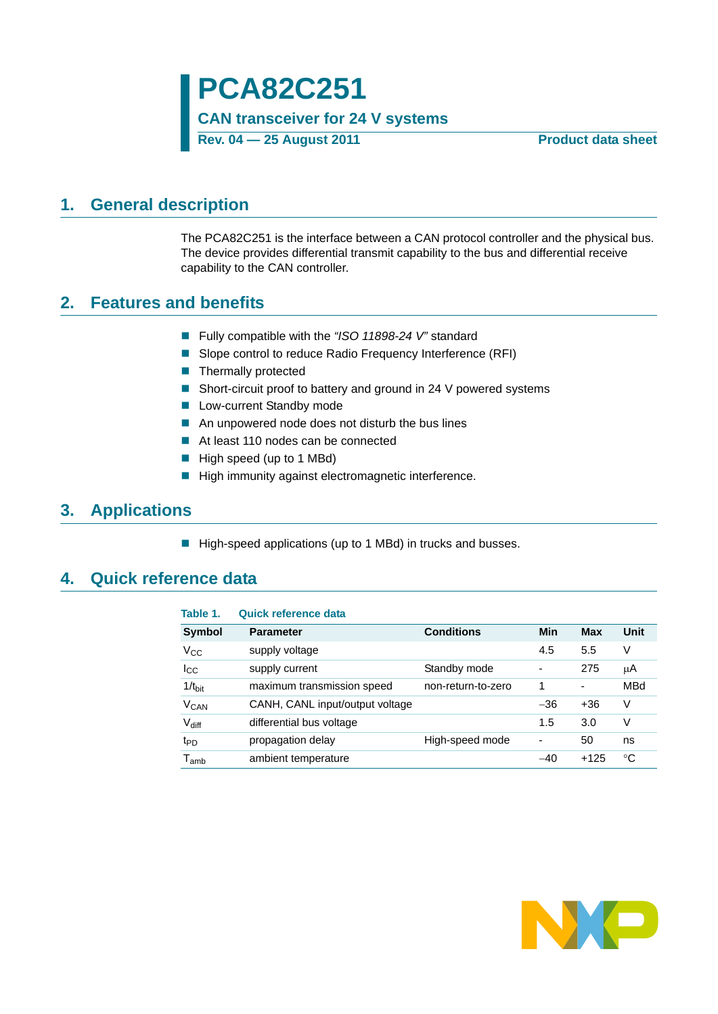### <span id="page-0-1"></span>**1. General description**

The PCA82C251 is the interface between a CAN protocol controller and the physical bus. The device provides differential transmit capability to the bus and differential receive capability to the CAN controller.

### <span id="page-0-2"></span>**2. Features and benefits**

- Fully compatible with the *"ISO 11898-24 V"* standard
- Slope control to reduce Radio Frequency Interference (RFI)
- Thermally protected
- Short-circuit proof to battery and ground in 24 V powered systems
- **Low-current Standby mode**
- An unpowered node does not disturb the bus lines
- At least 110 nodes can be connected
- High speed (up to 1 MBd)
- High immunity against electromagnetic interference.

### <span id="page-0-3"></span>**3. Applications**

■ High-speed applications (up to 1 MBd) in trucks and busses.

### <span id="page-0-0"></span>**4. Quick reference data**

| Table 1.                    | Quick reference data            |                    |                          |            |      |
|-----------------------------|---------------------------------|--------------------|--------------------------|------------|------|
| Symbol                      | <b>Parameter</b>                | <b>Conditions</b>  | Min                      | <b>Max</b> | Unit |
| $\rm V_{CC}$                | supply voltage                  |                    | 4.5                      | 5.5        | V    |
| lcc                         | supply current                  | Standby mode       | $\overline{\phantom{a}}$ | 275        | μA   |
| $1/t_{\text{bit}}$          | maximum transmission speed      | non-return-to-zero | 1                        | -          | MBd  |
| V <sub>CAN</sub>            | CANH, CANL input/output voltage |                    | $-36$                    | $+36$      | V    |
| $V_{diff}$                  | differential bus voltage        |                    | 1.5                      | 3.0        | V    |
| t <sub>PD</sub>             | propagation delay               | High-speed mode    | $\blacksquare$           | 50         | ns   |
| $\mathsf{T}_{\mathsf{amb}}$ | ambient temperature             |                    | $-40$                    | $+125$     | °C   |

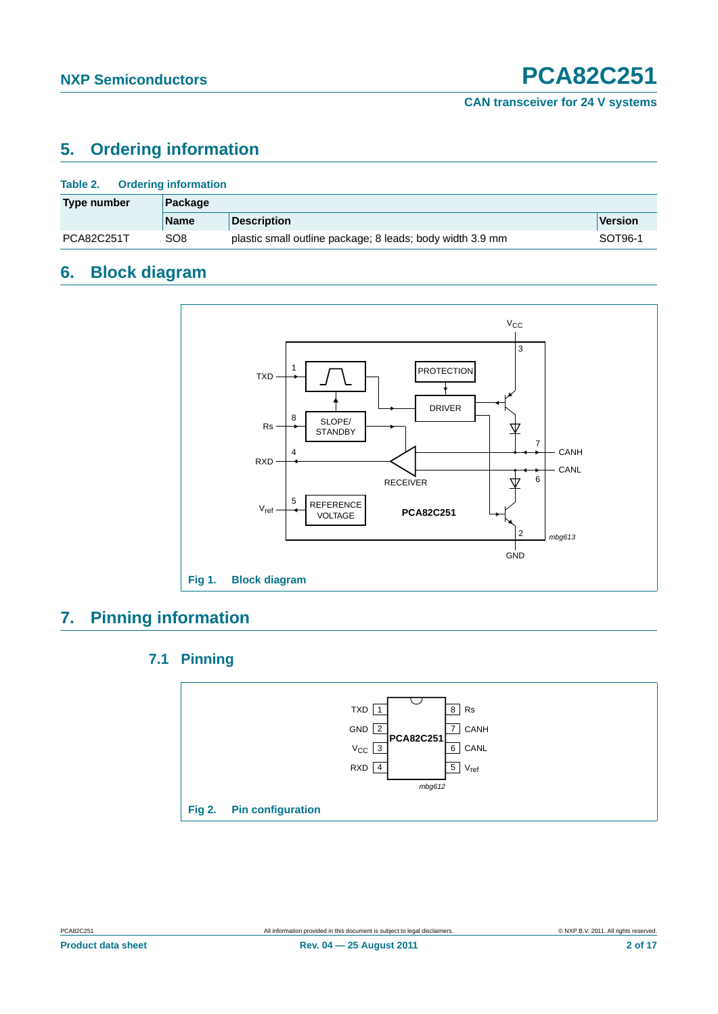### <span id="page-1-0"></span>**5. Ordering information**

| <b>Ordering information</b><br>Table 2. |             |                                                           |                |  |  |
|-----------------------------------------|-------------|-----------------------------------------------------------|----------------|--|--|
| Package<br>Type number                  |             |                                                           |                |  |  |
|                                         | <b>Name</b> | <b>Description</b>                                        | <b>Version</b> |  |  |
| PCA82C251T                              | SO8         | plastic small outline package; 8 leads; body width 3.9 mm | SOT96-1        |  |  |

### <span id="page-1-1"></span>**6. Block diagram**



### <span id="page-1-3"></span><span id="page-1-2"></span>**7. Pinning information**

### **7.1 Pinning**



**Product data sheet Rev. 04 — 25 August 2011 2 of 17**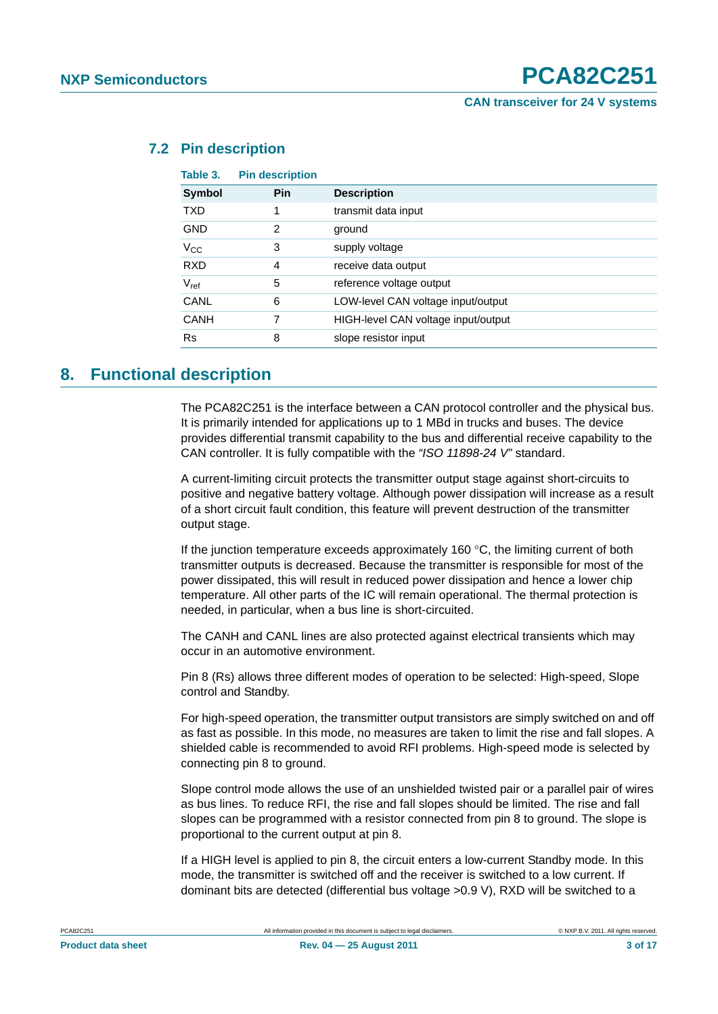**CAN transceiver for 24 V systems**

| Table 3.      | <b>Pin description</b> |                                     |
|---------------|------------------------|-------------------------------------|
| <b>Symbol</b> | <b>Pin</b>             | <b>Description</b>                  |
| <b>TXD</b>    |                        | transmit data input                 |
| <b>GND</b>    | 2                      | ground                              |
| $V_{\rm CC}$  | 3                      | supply voltage                      |
| <b>RXD</b>    | 4                      | receive data output                 |
| $V_{ref}$     | 5                      | reference voltage output            |
| CANL          | 6                      | LOW-level CAN voltage input/output  |
| CANH          | 7                      | HIGH-level CAN voltage input/output |
| <b>Rs</b>     | 8                      | slope resistor input                |
|               |                        |                                     |

#### <span id="page-2-0"></span>**7.2 Pin description**

### <span id="page-2-1"></span>**8. Functional description**

The PCA82C251 is the interface between a CAN protocol controller and the physical bus. It is primarily intended for applications up to 1 MBd in trucks and buses. The device provides differential transmit capability to the bus and differential receive capability to the CAN controller. It is fully compatible with the *"ISO 11898-24 V"* standard.

A current-limiting circuit protects the transmitter output stage against short-circuits to positive and negative battery voltage. Although power dissipation will increase as a result of a short circuit fault condition, this feature will prevent destruction of the transmitter output stage.

If the junction temperature exceeds approximately 160 $\degree$ C, the limiting current of both transmitter outputs is decreased. Because the transmitter is responsible for most of the power dissipated, this will result in reduced power dissipation and hence a lower chip temperature. All other parts of the IC will remain operational. The thermal protection is needed, in particular, when a bus line is short-circuited.

The CANH and CANL lines are also protected against electrical transients which may occur in an automotive environment.

Pin 8 (Rs) allows three different modes of operation to be selected: High-speed, Slope control and Standby.

For high-speed operation, the transmitter output transistors are simply switched on and off as fast as possible. In this mode, no measures are taken to limit the rise and fall slopes. A shielded cable is recommended to avoid RFI problems. High-speed mode is selected by connecting pin 8 to ground.

Slope control mode allows the use of an unshielded twisted pair or a parallel pair of wires as bus lines. To reduce RFI, the rise and fall slopes should be limited. The rise and fall slopes can be programmed with a resistor connected from pin 8 to ground. The slope is proportional to the current output at pin 8.

If a HIGH level is applied to pin 8, the circuit enters a low-current Standby mode. In this mode, the transmitter is switched off and the receiver is switched to a low current. If dominant bits are detected (differential bus voltage >0.9 V), RXD will be switched to a

| <b>Product data sheet</b> |  |
|---------------------------|--|
|                           |  |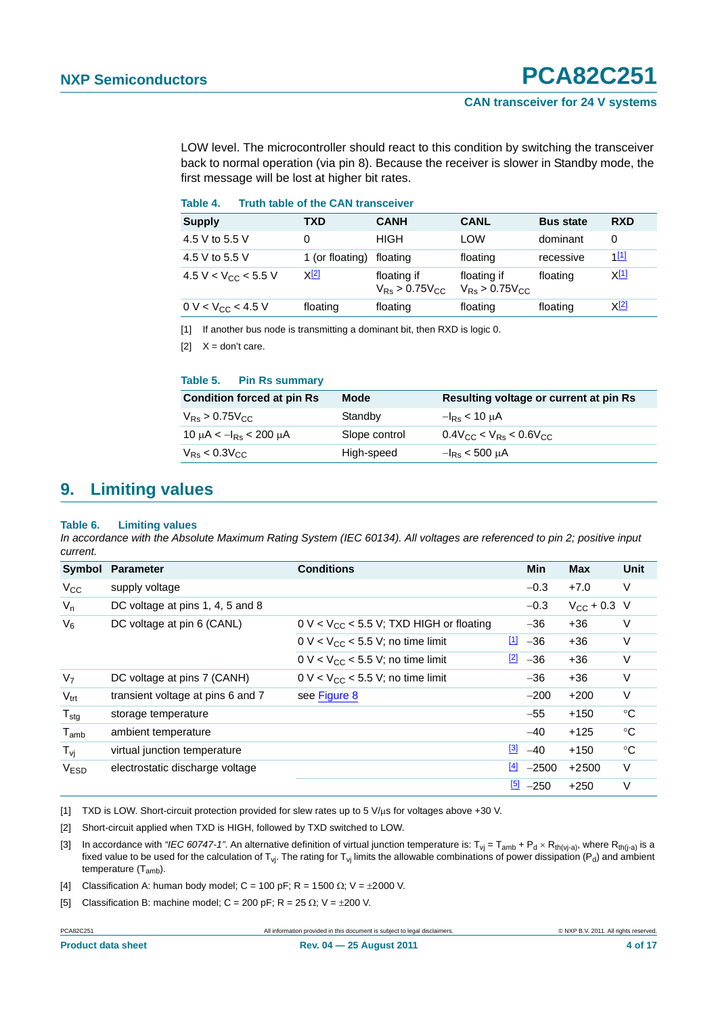#### **CAN transceiver for 24 V systems**

LOW level. The microcontroller should react to this condition by switching the transceiver back to normal operation (via pin 8). Because the receiver is slower in Standby mode, the first message will be lost at higher bit rates.

#### **Table 4. Truth table of the CAN transceiver**

| <b>Supply</b>                   | TXD             | <b>CANH</b>                          | <b>CANL</b>                          | <b>Bus state</b> | <b>RXD</b>       |
|---------------------------------|-----------------|--------------------------------------|--------------------------------------|------------------|------------------|
| 4.5 V to 5.5 V                  |                 | <b>HIGH</b>                          | LOW                                  | dominant         | 0                |
| 4.5 V to 5.5 V                  | 1 (or floating) | floating                             | floating                             | recessive        | $1^{[1]}$        |
| 4.5 V < V <sub>CC</sub> < 5.5 V | <u>X[2]</u>     | floating if<br>$V_{Rs} > 0.75 V_{C}$ | floating if<br>$V_{Rs} > 0.75 V_{C}$ | floating         | X <sup>[1]</sup> |
| 0 V < $V_{CC}$ < 4.5 V          | floating        | floating                             | floating                             | floating         | <u>X[2]</u>      |

<span id="page-3-0"></span>[1] If another bus node is transmitting a dominant bit, then RXD is logic 0.

<span id="page-3-1"></span>[2]  $X = don't care$ .

#### **Table 5. Pin Rs summary**

| <b>Condition forced at pin Rs</b> | Mode          | Resulting voltage or current at pin Rs |
|-----------------------------------|---------------|----------------------------------------|
| $V_{RS}$ > 0.75 $V_{CC}$          | Standby       | $-I_{\rm{Rs}}$ < 10 $\mu$ A            |
| 10 µA $< -I_{\rm Rs}$ $<$ 200 µA  | Slope control | $0.4$ Vcc < V <sub>Rs</sub> < 0.6Vcc   |
| $V_{RS}$ < 0.3 $V_{CC}$           | High-speed    | $-I_{\rm{Re}}$ < 500 $\mu$ A           |

### <span id="page-3-7"></span>**9. Limiting values**

#### **Table 6. Limiting values**

*In accordance with the Absolute Maximum Rating System (IEC 60134). All voltages are referenced to pin 2; positive input current.*

| Symbol            | <b>Parameter</b>                  | <b>Conditions</b>                                                    |             | <b>Min</b>         | <b>Max</b>           | <b>Unit</b> |
|-------------------|-----------------------------------|----------------------------------------------------------------------|-------------|--------------------|----------------------|-------------|
| $V_{\rm CC}$      | supply voltage                    |                                                                      |             | $-0.3$             | $+7.0$               | V           |
| $V_n$             | DC voltage at pins 1, 4, 5 and 8  |                                                                      |             | $-0.3$             | $V_{\rm CC}$ + 0.3 V |             |
| $V_6$             | DC voltage at pin 6 (CANL)        | $0 \text{ V} < V_{\text{CC}} < 5.5 \text{ V}$ ; TXD HIGH or floating |             | $-36$              | $+36$                | V           |
|                   |                                   | $0 \text{ V} < V_{\text{CC}} < 5.5 \text{ V}$ ; no time limit        | $\boxed{1}$ | $-36$              | $+36$                | V           |
|                   |                                   | $0 \text{ V} < V_{\text{CC}} < 5.5 \text{ V}$ ; no time limit        | $[2]$       | $-36$              | $+36$                | V           |
| V <sub>7</sub>    | DC voltage at pins 7 (CANH)       | $0 \text{ V} < V_{\text{CC}} < 5.5 \text{ V}$ ; no time limit        |             | $-36$              | $+36$                | V           |
| $V_{\text{trt}}$  | transient voltage at pins 6 and 7 | see Figure 8                                                         |             | $-200$             | $+200$               | V           |
| $T_{\text{stg}}$  | storage temperature               |                                                                      |             | $-55$              | $+150$               | °C          |
| $T_{amb}$         | ambient temperature               |                                                                      |             | $-40$              | $+125$               | °C          |
| $T_{\mathsf{vi}}$ | virtual junction temperature      |                                                                      | $[3]$       | $-40$              | $+150$               | $^{\circ}C$ |
| <b>VESD</b>       | electrostatic discharge voltage   |                                                                      | $[4]$       | $-2500$            | $+2500$              | $\vee$      |
|                   |                                   |                                                                      |             | $\frac{5}{2}$ -250 | $+250$               | V           |

<span id="page-3-2"></span>[1] TXD is LOW. Short-circuit protection provided for slew rates up to 5 V/µs for voltages above +30 V.

<span id="page-3-3"></span>[2] Short-circuit applied when TXD is HIGH, followed by TXD switched to LOW.

<span id="page-3-4"></span>[3] In accordance with "IEC 60747-1". An alternative definition of virtual junction temperature is:  $T_{vi} = T_{amb} + P_d \times R_{th(via)}$ , where  $R_{th(i-a)}$  is a fixed value to be used for the calculation of  $T_{VI}$ . The rating for  $T_{VI}$  limits the allowable combinations of power dissipation (P<sub>d</sub>) and ambient temperature (T<sub>amb</sub>).

<span id="page-3-5"></span>[4] Classification A: human body model; C = 100 pF; R = 1500  $\Omega$ ; V =  $\pm 2000$  V.

<span id="page-3-6"></span>[5] Classification B: machine model; C = 200 pF; R = 25  $\Omega$ ; V =  $\pm$ 200 V.

PCA82C251 All information provided in this document is subject to legal disclaimers. © NXP B.V. 2011. All rights reserved.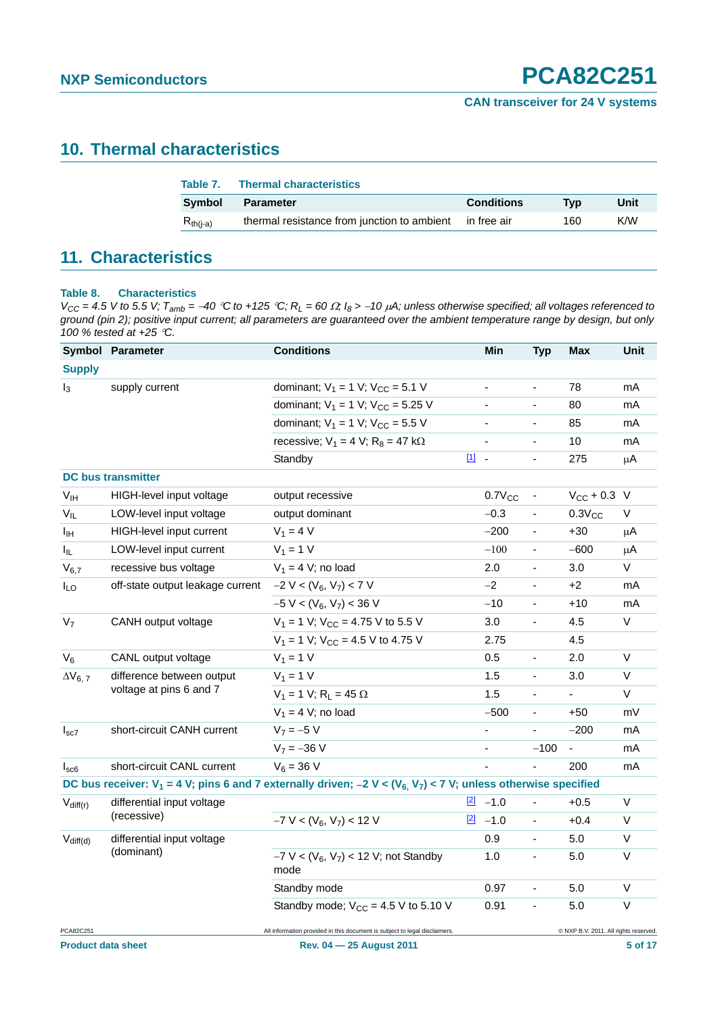### <span id="page-4-1"></span>**10. Thermal characteristics**

| Table 7.      | <b>Thermal characteristics</b>              |                   |     |      |
|---------------|---------------------------------------------|-------------------|-----|------|
| Symbol        | <b>Parameter</b>                            | <b>Conditions</b> | Tvp | Unit |
| $R_{th(i-a)}$ | thermal resistance from junction to ambient | in free air       | 160 | K/W  |

### <span id="page-4-2"></span>**11. Characteristics**

#### <span id="page-4-0"></span>**Table 8. Characteristics**

 $V_{CC} = 4.5$  V to 5.5 V;  $T_{amb} = -40$  °C to +125 °C;  $R_L = 60 \Omega$ ;  $I_8 > -10 \mu A$ ; unless otherwise specified; all voltages referenced to ground (pin 2); positive input current; all parameters are guaranteed over the ambient temperature range by design, but only *100 % tested at +25 C.*

|                           | Symbol Parameter                                     | <b>Conditions</b>                                                                                                        | Min                      | <b>Typ</b>               | Max                                   | Unit    |
|---------------------------|------------------------------------------------------|--------------------------------------------------------------------------------------------------------------------------|--------------------------|--------------------------|---------------------------------------|---------|
| <b>Supply</b>             |                                                      |                                                                                                                          |                          |                          |                                       |         |
| $I_3$                     | supply current                                       | dominant; $V_1 = 1$ V; $V_{CC} = 5.1$ V                                                                                  |                          | ٠                        | 78                                    | mA      |
|                           |                                                      | dominant; $V_1 = 1$ V; $V_{CC} = 5.25$ V                                                                                 | $\overline{\phantom{a}}$ | ÷,                       | 80                                    | mA      |
|                           |                                                      | dominant; $V_1 = 1$ V; $V_{CC} = 5.5$ V                                                                                  | $\blacksquare$           | $\overline{\phantom{0}}$ | 85                                    | mA      |
|                           |                                                      | recessive: $V_1 = 4$ V; $R_8 = 47$ k $\Omega$                                                                            | $\frac{1}{2}$            | ÷,                       | 10                                    | mA      |
|                           |                                                      | $\boxed{1}$<br>Standby                                                                                                   | $\sim$                   | ä,                       | 275                                   | μA      |
|                           | <b>DC</b> bus transmitter                            |                                                                                                                          |                          |                          |                                       |         |
| V <sub>IH</sub>           | HIGH-level input voltage                             | output recessive                                                                                                         | $0.7V_{CC}$              | $\overline{\phantom{a}}$ | $V_{CC}$ + 0.3 V                      |         |
| $V_{IL}$                  | LOW-level input voltage                              | output dominant                                                                                                          | $-0.3$                   | $\blacksquare$           | $0.3V_{CC}$                           | V       |
| Iщ                        | HIGH-level input current                             | $V_1 = 4 V$                                                                                                              | $-200$                   | $\overline{\phantom{a}}$ | $+30$                                 | μA      |
| I <sub>IL</sub>           | LOW-level input current                              | $V_1 = 1 V$                                                                                                              | $-100$                   | $\blacksquare$           | $-600$                                | $\mu$ A |
| $V_{6,7}$                 | recessive bus voltage                                | $V_1 = 4$ V; no load                                                                                                     | 2.0                      | ÷,                       | 3.0                                   | $\vee$  |
| $I_{LO}$                  | off-state output leakage current                     | $-2 V < (V_6, V_7) < 7 V$                                                                                                | $-2$                     | L.                       | +2                                    | mA      |
|                           |                                                      | $-5 V < (V_6, V_7) < 36 V$                                                                                               | $-10$                    | $\overline{\phantom{a}}$ | $+10$                                 | mA      |
| V <sub>7</sub>            | CANH output voltage                                  | $V_1 = 1$ V; V <sub>CC</sub> = 4.75 V to 5.5 V                                                                           | 3.0                      | ÷,                       | 4.5                                   | $\vee$  |
|                           |                                                      | $V_1 = 1$ V; V <sub>CC</sub> = 4.5 V to 4.75 V                                                                           | 2.75                     |                          | 4.5                                   |         |
| $V_6$                     | CANL output voltage                                  | $V_1 = 1 V$                                                                                                              | 0.5                      |                          | 2.0                                   | $\vee$  |
| $\Delta V_{6, 7}$         | difference between output<br>voltage at pins 6 and 7 | $V_1 = 1 V$                                                                                                              | 1.5                      | $\blacksquare$           | 3.0                                   | V       |
|                           |                                                      | $V_1 = 1 V$ ; R <sub>L</sub> = 45 $\Omega$                                                                               | 1.5                      | ä,                       | $\blacksquare$                        | V       |
|                           |                                                      | $V_1 = 4$ V; no load                                                                                                     | $-500$                   | $\blacksquare$           | +50                                   | mV      |
| $I_{sc7}$                 | short-circuit CANH current                           | $V_7 = -5 V$                                                                                                             | ÷,                       | $\overline{a}$           | $-200$                                | mA      |
|                           |                                                      | $V_7 = -36 V$                                                                                                            | $\blacksquare$           | $-100$                   |                                       | mA      |
| $I_{\rm sc6}$             | short-circuit CANL current                           | $V_6 = 36 V$                                                                                                             | L.                       | ÷,                       | 200                                   | mA      |
|                           |                                                      | DC bus receiver: $V_1$ = 4 V; pins 6 and 7 externally driven; -2 V < ( $V_6$ , $V_7$ ) < 7 V; unless otherwise specified |                          |                          |                                       |         |
| $V_{diff(r)}$             | differential input voltage                           |                                                                                                                          | $[2] -1.0$               | $\blacksquare$           | $+0.5$                                | V       |
|                           | (recessive)                                          | $-7 V < (V_6, V_7) < 12 V$                                                                                               | $[2] -1.0$               | $\blacksquare$           | $+0.4$                                | $\vee$  |
| $V_{diff(d)}$             | differential input voltage                           |                                                                                                                          | 0.9                      | ÷,                       | 5.0                                   | $\vee$  |
|                           | (dominant)                                           | $-7$ V < (V <sub>6</sub> , V <sub>7</sub> ) < 12 V; not Standby<br>mode                                                  | 1.0                      | $\blacksquare$           | 5.0                                   | $\vee$  |
|                           |                                                      | Standby mode                                                                                                             | 0.97                     | $\blacksquare$           | 5.0                                   | $\vee$  |
|                           |                                                      | Standby mode; $V_{CC} = 4.5 V$ to 5.10 V                                                                                 | 0.91                     | $\blacksquare$           | 5.0                                   | $\vee$  |
| PCA82C251                 |                                                      | All information provided in this document is subject to legal disclaimers.                                               |                          |                          | @ NXP B.V. 2011. All rights reserved. |         |
| <b>Product data sheet</b> |                                                      | Rev. 04 - 25 August 2011                                                                                                 |                          |                          |                                       | 5 of 17 |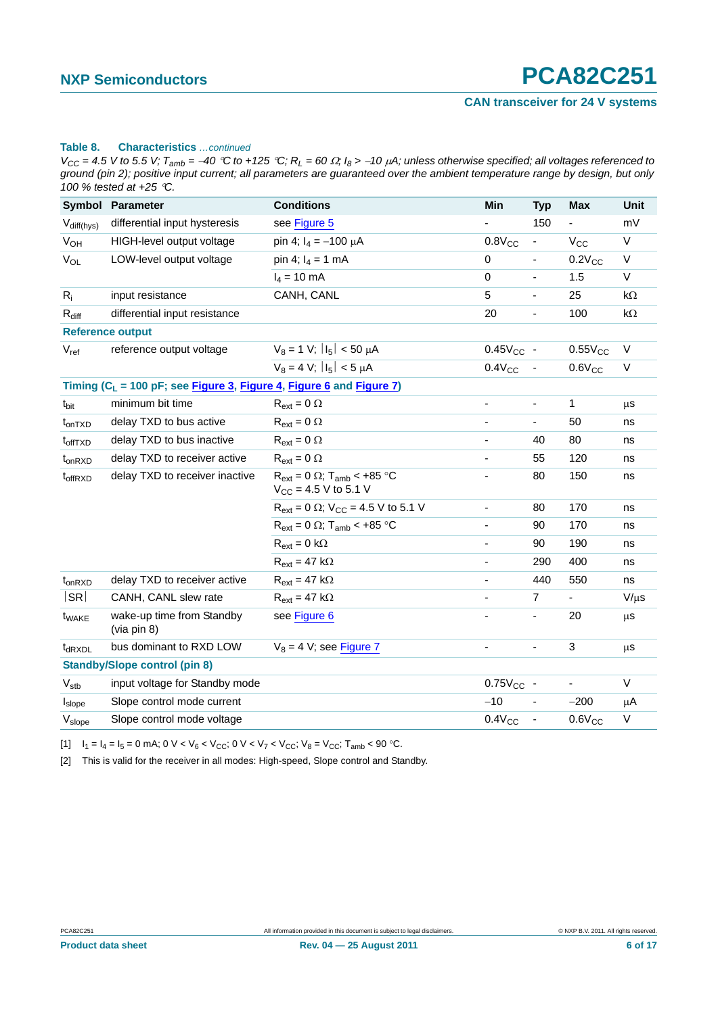#### **CAN transceiver for 24 V systems**

#### **Table 8. Characteristics** *…continued*

 $V_{CC} = 4.5$  V to 5.5 V;  $T_{amb} = -40$  °C to +125 °C;  $R_L = 60 \Omega$ ;  $I_8 > -10 \mu A$ ; unless otherwise specified; all voltages referenced to *ground (pin 2); positive input current; all parameters are guaranteed over the ambient temperature range by design, but only 100 % tested at +25 C.*

|                       | Symbol Parameter                                                        | <b>Conditions</b>                                                             | Min                          | <b>Typ</b>                   | <b>Max</b>               | <b>Unit</b> |
|-----------------------|-------------------------------------------------------------------------|-------------------------------------------------------------------------------|------------------------------|------------------------------|--------------------------|-------------|
| $V_{diff(hys)}$       | differential input hysteresis                                           | see Figure 5                                                                  |                              | 150                          |                          | mV          |
| <b>V<sub>OH</sub></b> | HIGH-level output voltage                                               | pin 4; $I_4 = -100 \mu A$                                                     | $0.8V_{CC}$                  | $\blacksquare$               | $V_{\rm CC}$             | $\vee$      |
| $V_{OL}$              | LOW-level output voltage                                                | pin 4; $I_4 = 1$ mA                                                           | $\mathbf 0$                  | $\blacksquare$               | $0.2V_{CC}$              | V           |
|                       |                                                                         | $I_4 = 10$ mA                                                                 | $\mathbf 0$                  | ä,                           | 1.5                      | $\vee$      |
| $R_i$                 | input resistance                                                        | CANH, CANL                                                                    | 5                            | $\blacksquare$               | 25                       | $k\Omega$   |
| $R_{diff}$            | differential input resistance                                           |                                                                               | 20                           | $\overline{a}$               | 100                      | k $\Omega$  |
|                       | <b>Reference output</b>                                                 |                                                                               |                              |                              |                          |             |
| $V_{ref}$             | reference output voltage                                                | $V_8 = 1 V$ ; $ I_5  < 50 \mu A$                                              | $0.45V_{CC}$ -               |                              | $0.55V_{CC}$             | $\vee$      |
|                       |                                                                         | $V_8 = 4 V$ ; $ I_5  < 5 \mu A$                                               | $0.4V_{CC}$                  | $\overline{\phantom{a}}$     | $0.6V_{CC}$              | V           |
|                       | Timing ( $C_L$ = 100 pF; see Figure 3, Figure 4, Figure 6 and Figure 7) |                                                                               |                              |                              |                          |             |
| t <sub>bit</sub>      | minimum bit time                                                        | $R_{ext} = 0 \Omega$                                                          | $\qquad \qquad \blacksquare$ | $\blacksquare$               | $\mathbf{1}$             | μS          |
| $t_{onTXD}$           | delay TXD to bus active                                                 | $R_{ext} = 0 \Omega$                                                          | ÷,                           | ÷,                           | 50                       | ns          |
| t <sub>offTXD</sub>   | delay TXD to bus inactive                                               | $R_{ext} = 0 \Omega$                                                          | $\frac{1}{2}$                | 40                           | 80                       | ns          |
| $t_{on RXD}$          | delay TXD to receiver active                                            | $R_{ext} = 0 \Omega$                                                          |                              | 55                           | 120                      | ns          |
| t <sub>offRXD</sub>   | delay TXD to receiver inactive                                          | $R_{ext} = 0 \Omega$ ; T <sub>amb</sub> < +85 °C<br>$V_{CC}$ = 4.5 V to 5.1 V | $\blacksquare$               | 80                           | 150                      | ns          |
|                       |                                                                         | $R_{ext} = 0 \Omega$ ; $V_{CC} = 4.5 V$ to 5.1 V                              | $\frac{1}{2}$                | 80                           | 170                      | ns          |
|                       |                                                                         | $R_{ext}$ = 0 $\Omega$ ; T <sub>amb</sub> < +85 °C                            | $\frac{1}{2}$                | 90                           | 170                      | ns          |
|                       |                                                                         | $R_{ext} = 0 k\Omega$                                                         |                              | 90                           | 190                      | ns          |
|                       |                                                                         | $R_{ext} = 47 k\Omega$                                                        | $\overline{\phantom{a}}$     | 290                          | 400                      | ns          |
| $t_{on RXD}$          | delay TXD to receiver active                                            | $R_{ext} = 47 k\Omega$                                                        | ÷,                           | 440                          | 550                      | ns          |
| SR                    | CANH, CANL slew rate                                                    | $R_{ext} = 47 k\Omega$                                                        | ٠                            | $\overline{7}$               | $\overline{\phantom{a}}$ | $V/\mu s$   |
| t <sub>WAKE</sub>     | wake-up time from Standby<br>(via pin 8)                                | see Figure 6                                                                  |                              | ÷,                           | 20                       | $\mu$ s     |
| t <sub>dRXDL</sub>    | bus dominant to RXD LOW                                                 | $V_8 = 4$ V; see Figure 7                                                     |                              | $\qquad \qquad \blacksquare$ | 3                        | μS          |
|                       | <b>Standby/Slope control (pin 8)</b>                                    |                                                                               |                              |                              |                          |             |
| $V_{\text{stb}}$      | input voltage for Standby mode                                          |                                                                               | $0.75V_{CC}$ -               |                              | $\frac{1}{2}$            | V           |
| $I_{slope}$           | Slope control mode current                                              |                                                                               | $-10$                        | $\overline{\phantom{a}}$     | $-200$                   | $\mu$ A     |
| V <sub>slope</sub>    | Slope control mode voltage                                              |                                                                               | $0.4V_{CC}$                  | $\blacksquare$               | $0.6V_{CC}$              | V           |

<span id="page-5-0"></span>[1]  $I_1 = I_4 = I_5 = 0$  mA;  $0 \text{ V} < V_6 < V_{\text{CC}}$ ;  $0 \text{ V} < V_7 < V_{\text{CC}}$ ;  $V_8 = V_{\text{CC}}$ ;  $T_{\text{amb}} < 90$  °C.

<span id="page-5-1"></span>[2] This is valid for the receiver in all modes: High-speed, Slope control and Standby.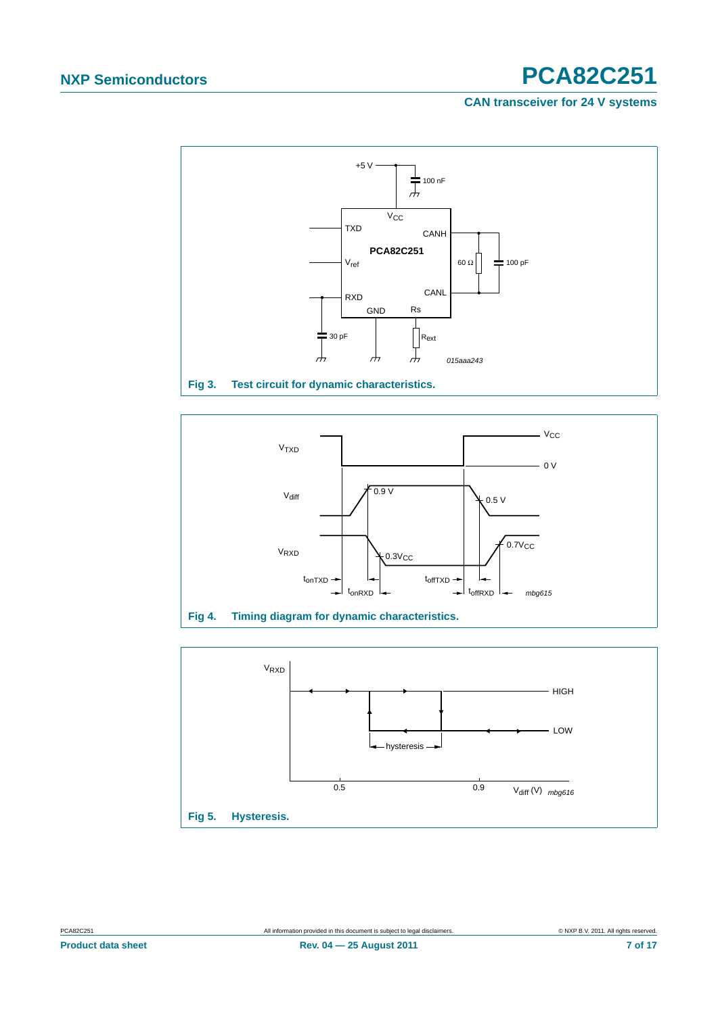#### **CAN transceiver for 24 V systems**



<span id="page-6-2"></span>

<span id="page-6-1"></span><span id="page-6-0"></span>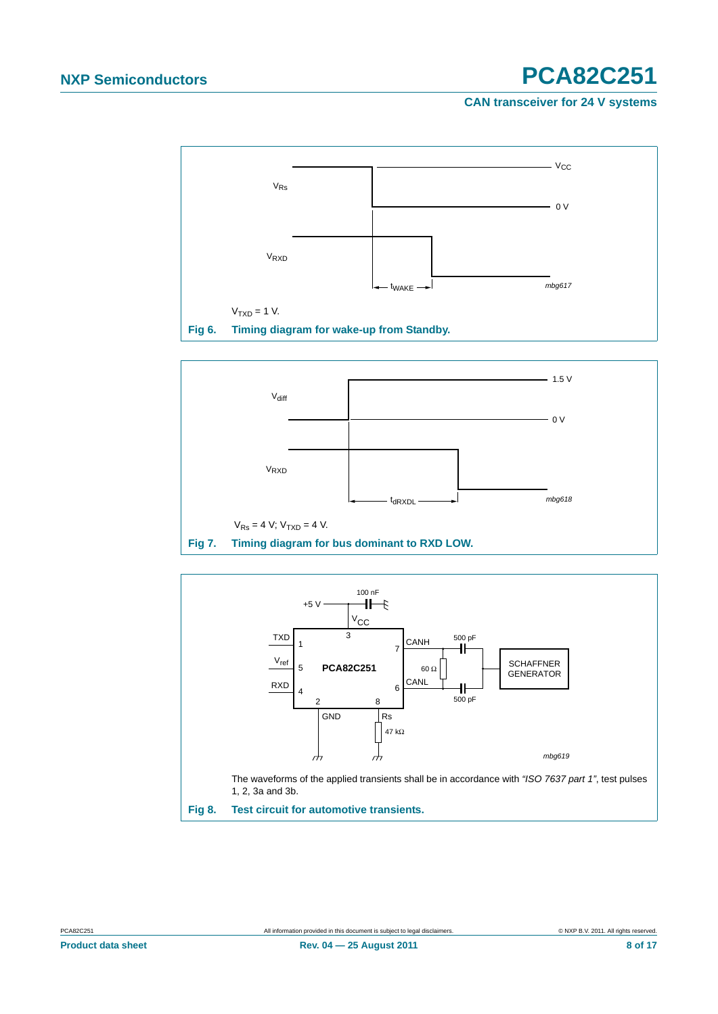#### **CAN transceiver for 24 V systems**



<span id="page-7-1"></span>

<span id="page-7-2"></span>

<span id="page-7-0"></span>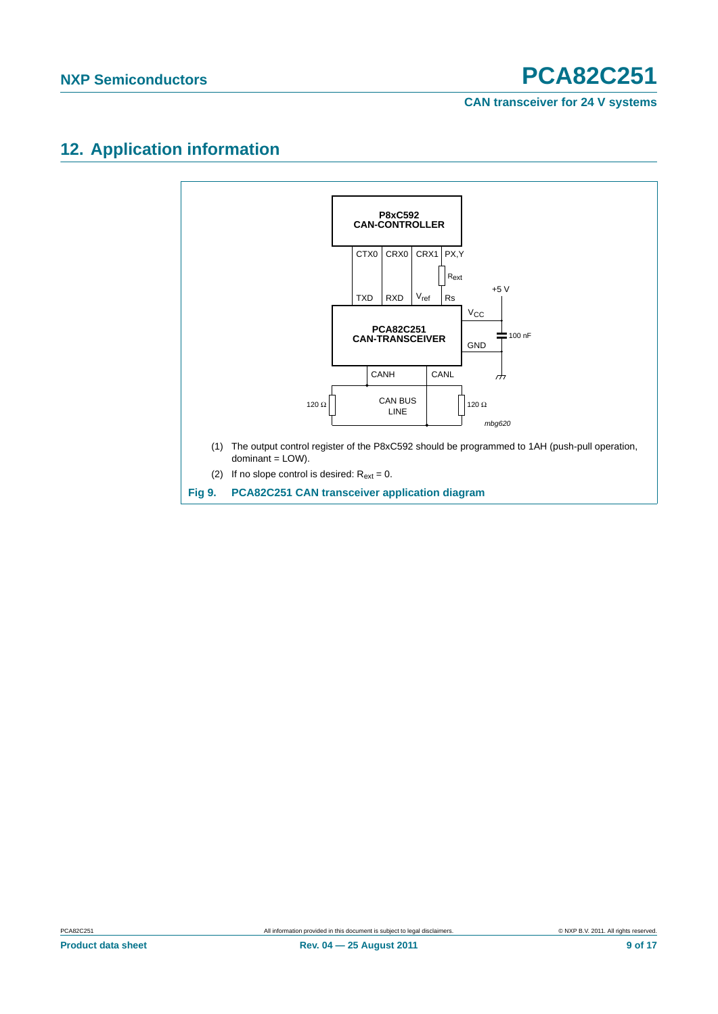### <span id="page-8-0"></span>**12. Application information**

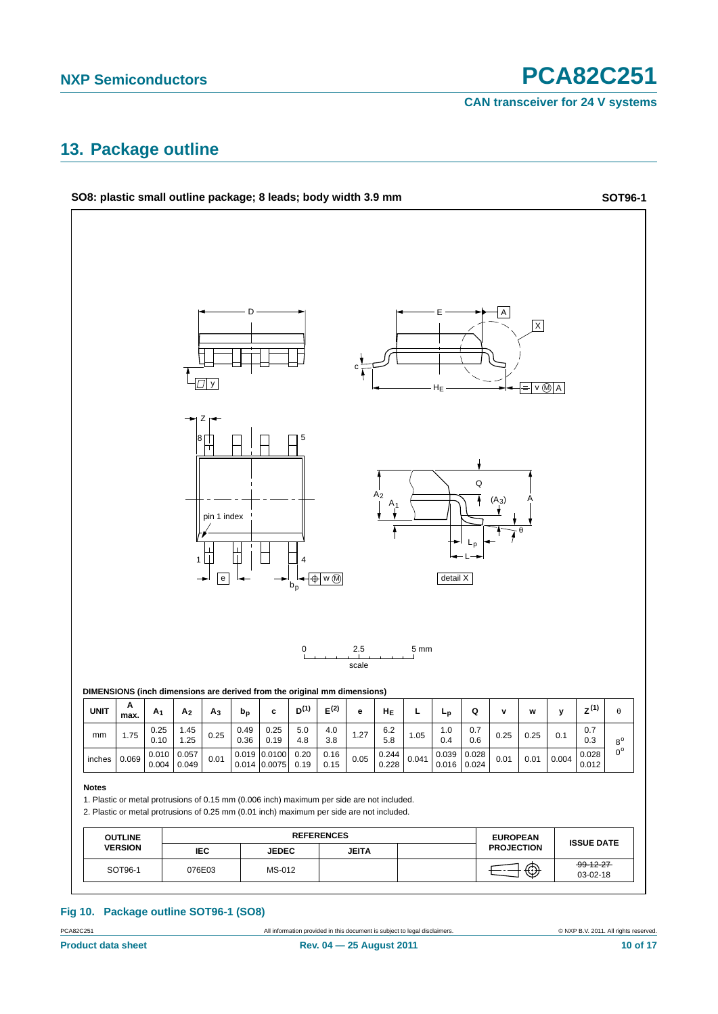**CAN transceiver for 24 V systems**

### <span id="page-9-0"></span>**13. Package outline**



PCA82C251 All information provided in this document is subject to legal disclaimers. © NXP B.V. 2011. All rights reserved.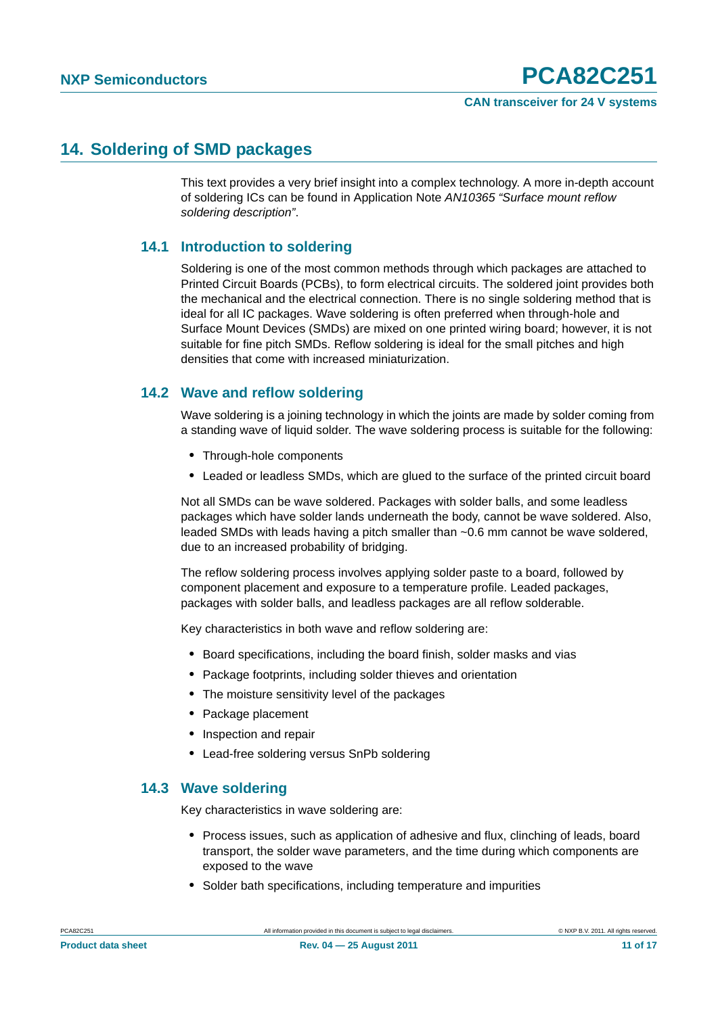### <span id="page-10-0"></span>**14. Soldering of SMD packages**

This text provides a very brief insight into a complex technology. A more in-depth account of soldering ICs can be found in Application Note *AN10365 "Surface mount reflow soldering description"*.

### <span id="page-10-1"></span>**14.1 Introduction to soldering**

Soldering is one of the most common methods through which packages are attached to Printed Circuit Boards (PCBs), to form electrical circuits. The soldered joint provides both the mechanical and the electrical connection. There is no single soldering method that is ideal for all IC packages. Wave soldering is often preferred when through-hole and Surface Mount Devices (SMDs) are mixed on one printed wiring board; however, it is not suitable for fine pitch SMDs. Reflow soldering is ideal for the small pitches and high densities that come with increased miniaturization.

### <span id="page-10-2"></span>**14.2 Wave and reflow soldering**

Wave soldering is a joining technology in which the joints are made by solder coming from a standing wave of liquid solder. The wave soldering process is suitable for the following:

- **•** Through-hole components
- **•** Leaded or leadless SMDs, which are glued to the surface of the printed circuit board

Not all SMDs can be wave soldered. Packages with solder balls, and some leadless packages which have solder lands underneath the body, cannot be wave soldered. Also, leaded SMDs with leads having a pitch smaller than ~0.6 mm cannot be wave soldered, due to an increased probability of bridging.

The reflow soldering process involves applying solder paste to a board, followed by component placement and exposure to a temperature profile. Leaded packages, packages with solder balls, and leadless packages are all reflow solderable.

Key characteristics in both wave and reflow soldering are:

- **•** Board specifications, including the board finish, solder masks and vias
- **•** Package footprints, including solder thieves and orientation
- **•** The moisture sensitivity level of the packages
- **•** Package placement
- **•** Inspection and repair
- **•** Lead-free soldering versus SnPb soldering

#### <span id="page-10-3"></span>**14.3 Wave soldering**

Key characteristics in wave soldering are:

- **•** Process issues, such as application of adhesive and flux, clinching of leads, board transport, the solder wave parameters, and the time during which components are exposed to the wave
- **•** Solder bath specifications, including temperature and impurities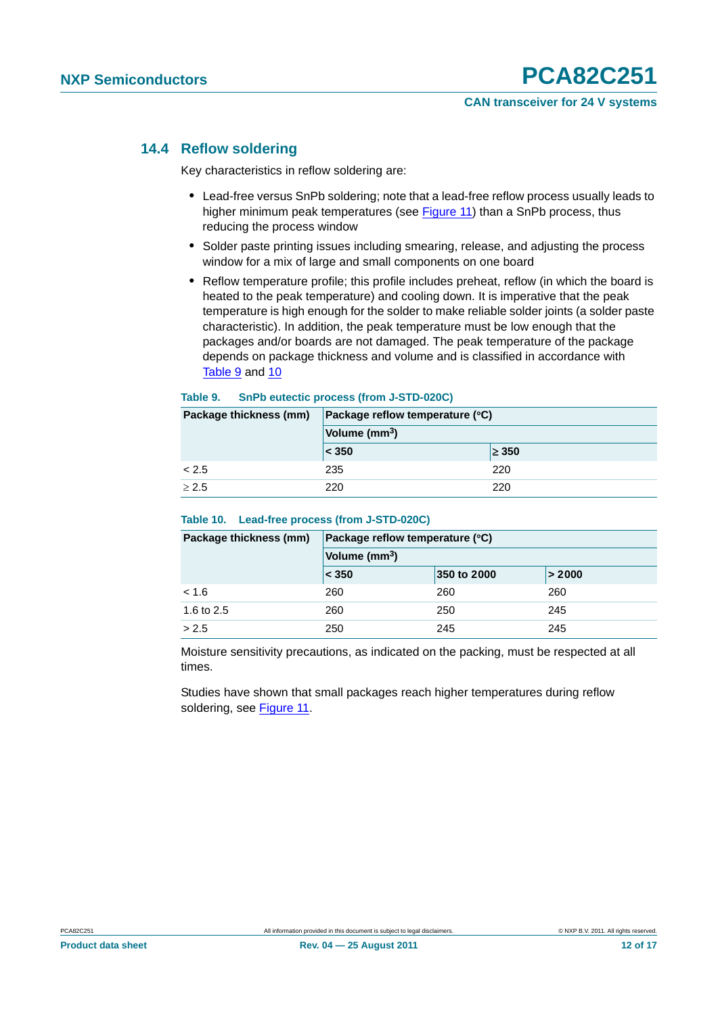#### <span id="page-11-0"></span>**14.4 Reflow soldering**

Key characteristics in reflow soldering are:

- **•** Lead-free versus SnPb soldering; note that a lead-free reflow process usually leads to higher minimum peak temperatures (see Figure 11) than a SnPb process, thus reducing the process window
- **•** Solder paste printing issues including smearing, release, and adjusting the process window for a mix of large and small components on one board
- **•** Reflow temperature profile; this profile includes preheat, reflow (in which the board is heated to the peak temperature) and cooling down. It is imperative that the peak temperature is high enough for the solder to make reliable solder joints (a solder paste characteristic). In addition, the peak temperature must be low enough that the packages and/or boards are not damaged. The peak temperature of the package depends on package thickness and volume and is classified in accordance with Table 9 and 10

#### **Table 9. SnPb eutectic process (from J-STD-020C)**

| Package thickness (mm) | Package reflow temperature (°C) |            |  |
|------------------------|---------------------------------|------------|--|
|                        | Volume (mm <sup>3</sup> )       |            |  |
|                        | < 350                           | $\geq 350$ |  |
| < 2.5                  | 235                             | 220        |  |
| > 2.5                  | 220                             | 220        |  |

#### **Table 10. Lead-free process (from J-STD-020C)**

| Package thickness (mm) | Package reflow temperature (°C) |             |        |  |  |
|------------------------|---------------------------------|-------------|--------|--|--|
|                        | Volume (mm <sup>3</sup> )       |             |        |  |  |
|                        | $\leq 350$                      | 350 to 2000 | > 2000 |  |  |
| < 1.6                  | 260                             | 260         | 260    |  |  |
| 1.6 to 2.5             | 260                             | 250         | 245    |  |  |
| > 2.5                  | 250                             | 245         | 245    |  |  |

Moisture sensitivity precautions, as indicated on the packing, must be respected at all times.

Studies have shown that small packages reach higher temperatures during reflow soldering, see Figure 11.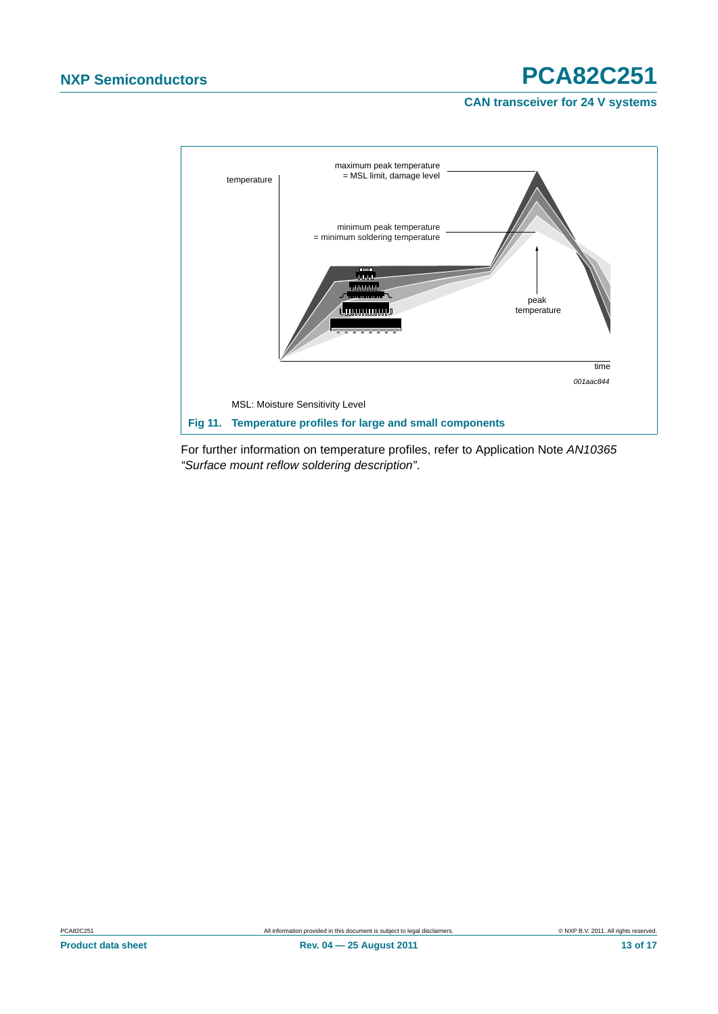**CAN transceiver for 24 V systems**



For further information on temperature profiles, refer to Application Note *AN10365 "Surface mount reflow soldering description"*.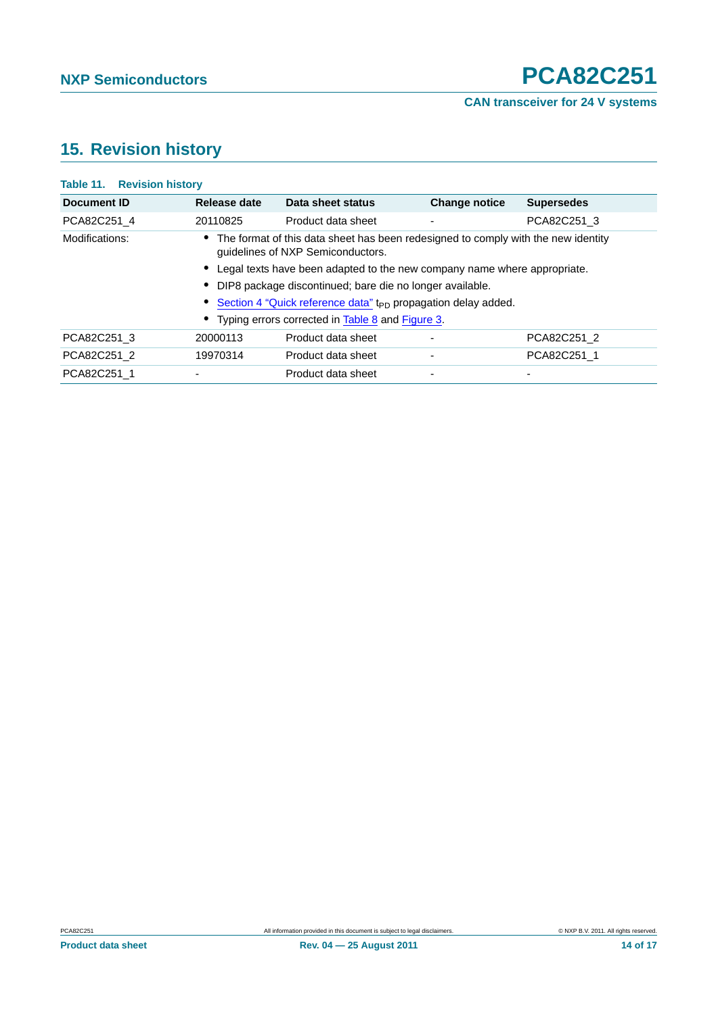## <span id="page-13-0"></span>**15. Revision history**

| <b>Table 11. Revision history</b> |                                                                                                                        |                    |                      |                   |  |  |  |  |
|-----------------------------------|------------------------------------------------------------------------------------------------------------------------|--------------------|----------------------|-------------------|--|--|--|--|
| Document ID                       | Release date                                                                                                           | Data sheet status  | <b>Change notice</b> | <b>Supersedes</b> |  |  |  |  |
| PCA82C251 4                       | 20110825                                                                                                               | Product data sheet | ٠                    | PCA82C251 3       |  |  |  |  |
| Modifications:                    | The format of this data sheet has been redesigned to comply with the new identity<br>quidelines of NXP Semiconductors. |                    |                      |                   |  |  |  |  |
|                                   | • Legal texts have been adapted to the new company name where appropriate.                                             |                    |                      |                   |  |  |  |  |
|                                   | DIP8 package discontinued; bare die no longer available.                                                               |                    |                      |                   |  |  |  |  |
|                                   | Section 4 "Quick reference data" t <sub>PD</sub> propagation delay added.                                              |                    |                      |                   |  |  |  |  |
|                                   | • Typing errors corrected in Table 8 and Figure 3.                                                                     |                    |                      |                   |  |  |  |  |
| PCA82C251 3                       | 20000113                                                                                                               | Product data sheet | -                    | PCA82C251 2       |  |  |  |  |
| PCA82C251 2                       | 19970314                                                                                                               | Product data sheet | ٠                    | PCA82C251 1       |  |  |  |  |
| PCA82C251 1                       |                                                                                                                        | Product data sheet | ٠                    | -                 |  |  |  |  |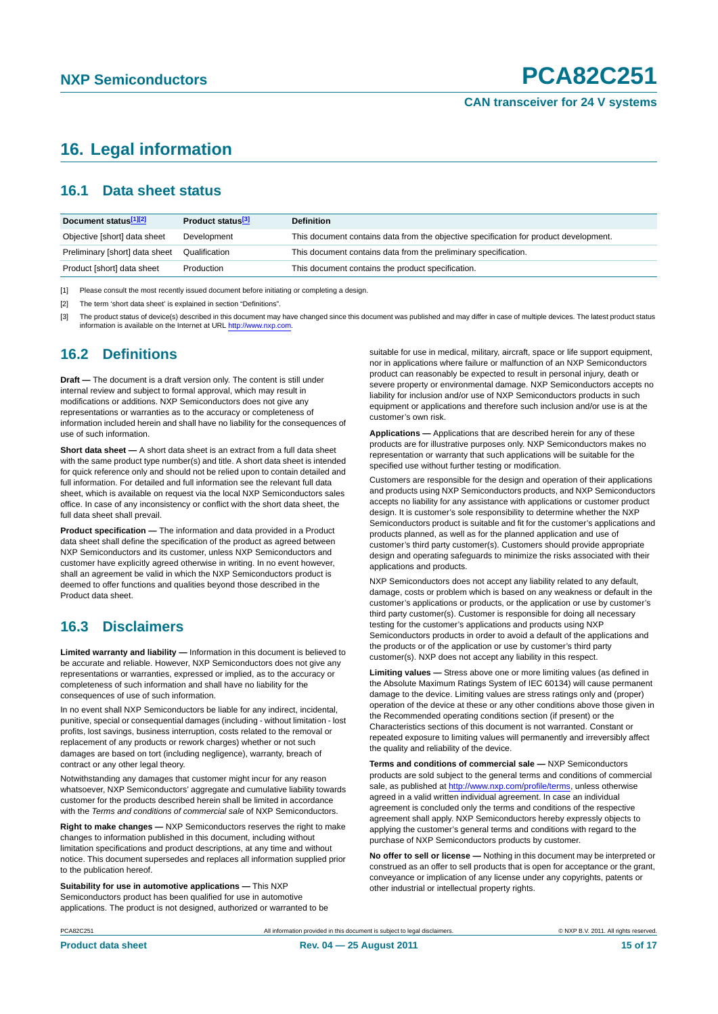### <span id="page-14-0"></span>**16. Legal information**

### <span id="page-14-1"></span>**16.1 Data sheet status**

| Document status[1][2]          | Product status <sup>[3]</sup> | <b>Definition</b>                                                                     |
|--------------------------------|-------------------------------|---------------------------------------------------------------------------------------|
| Objective [short] data sheet   | Development                   | This document contains data from the objective specification for product development. |
| Preliminary [short] data sheet | Qualification                 | This document contains data from the preliminary specification.                       |
| Product [short] data sheet     | Production                    | This document contains the product specification.                                     |

[1] Please consult the most recently issued document before initiating or completing a design.

[2] The term 'short data sheet' is explained in section "Definitions"

[3] The product status of device(s) described in this document may have changed since this document was published and may differ in case of multiple devices. The latest product status<br>information is available on the Intern

### <span id="page-14-2"></span>**16.2 Definitions**

**Draft —** The document is a draft version only. The content is still under internal review and subject to formal approval, which may result in modifications or additions. NXP Semiconductors does not give any representations or warranties as to the accuracy or completeness of information included herein and shall have no liability for the consequences of use of such information.

**Short data sheet —** A short data sheet is an extract from a full data sheet with the same product type number(s) and title. A short data sheet is intended for quick reference only and should not be relied upon to contain detailed and full information. For detailed and full information see the relevant full data sheet, which is available on request via the local NXP Semiconductors sales office. In case of any inconsistency or conflict with the short data sheet, the full data sheet shall prevail.

**Product specification —** The information and data provided in a Product data sheet shall define the specification of the product as agreed between NXP Semiconductors and its customer, unless NXP Semiconductors and customer have explicitly agreed otherwise in writing. In no event however, shall an agreement be valid in which the NXP Semiconductors product is deemed to offer functions and qualities beyond those described in the Product data sheet.

### <span id="page-14-3"></span>**16.3 Disclaimers**

**Limited warranty and liability —** Information in this document is believed to be accurate and reliable. However, NXP Semiconductors does not give any representations or warranties, expressed or implied, as to the accuracy or completeness of such information and shall have no liability for the consequences of use of such information.

In no event shall NXP Semiconductors be liable for any indirect, incidental, punitive, special or consequential damages (including - without limitation - lost profits, lost savings, business interruption, costs related to the removal or replacement of any products or rework charges) whether or not such damages are based on tort (including negligence), warranty, breach of contract or any other legal theory.

Notwithstanding any damages that customer might incur for any reason whatsoever, NXP Semiconductors' aggregate and cumulative liability towards customer for the products described herein shall be limited in accordance with the *Terms and conditions of commercial sale* of NXP Semiconductors.

**Right to make changes —** NXP Semiconductors reserves the right to make changes to information published in this document, including without limitation specifications and product descriptions, at any time and without notice. This document supersedes and replaces all information supplied prior to the publication hereof.

**Suitability for use in automotive applications —** This NXP Semiconductors product has been qualified for use in automotive applications. The product is not designed, authorized or warranted to be suitable for use in medical, military, aircraft, space or life support equipment nor in applications where failure or malfunction of an NXP Semiconductors product can reasonably be expected to result in personal injury, death or severe property or environmental damage. NXP Semiconductors accepts no liability for inclusion and/or use of NXP Semiconductors products in such equipment or applications and therefore such inclusion and/or use is at the customer's own risk.

**Applications —** Applications that are described herein for any of these products are for illustrative purposes only. NXP Semiconductors makes no representation or warranty that such applications will be suitable for the specified use without further testing or modification.

Customers are responsible for the design and operation of their applications and products using NXP Semiconductors products, and NXP Semiconductors accepts no liability for any assistance with applications or customer product design. It is customer's sole responsibility to determine whether the NXP Semiconductors product is suitable and fit for the customer's applications and products planned, as well as for the planned application and use of customer's third party customer(s). Customers should provide appropriate design and operating safeguards to minimize the risks associated with their applications and products.

NXP Semiconductors does not accept any liability related to any default, damage, costs or problem which is based on any weakness or default in the customer's applications or products, or the application or use by customer's third party customer(s). Customer is responsible for doing all necessary testing for the customer's applications and products using NXP Semiconductors products in order to avoid a default of the applications and the products or of the application or use by customer's third party customer(s). NXP does not accept any liability in this respect.

**Limiting values —** Stress above one or more limiting values (as defined in the Absolute Maximum Ratings System of IEC 60134) will cause permanent damage to the device. Limiting values are stress ratings only and (proper) operation of the device at these or any other conditions above those given in the Recommended operating conditions section (if present) or the Characteristics sections of this document is not warranted. Constant or repeated exposure to limiting values will permanently and irreversibly affect the quality and reliability of the device.

**Terms and conditions of commercial sale —** NXP Semiconductors products are sold subject to the general terms and conditions of commercial sale, as published at<http://www.nxp.com/profile/terms>, unless otherwise agreed in a valid written individual agreement. In case an individual agreement is concluded only the terms and conditions of the respective agreement shall apply. NXP Semiconductors hereby expressly objects to applying the customer's general terms and conditions with regard to the purchase of NXP Semiconductors products by customer.

**No offer to sell or license —** Nothing in this document may be interpreted or construed as an offer to sell products that is open for acceptance or the grant, conveyance or implication of any license under any copyrights, patents or other industrial or intellectual property rights.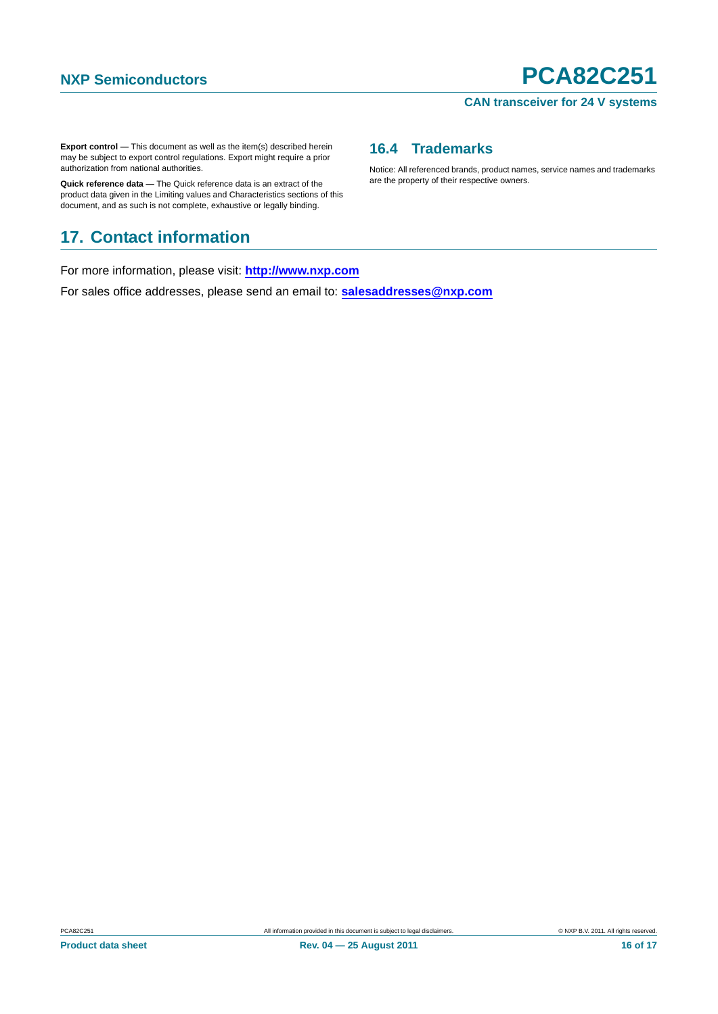#### **CAN transceiver for 24 V systems**

**Export control —** This document as well as the item(s) described herein may be subject to export control regulations. Export might require a prior authorization from national authorities.

**Quick reference data —** The Quick reference data is an extract of the product data given in the Limiting values and Characteristics sections of this document, and as such is not complete, exhaustive or legally binding.

### <span id="page-15-1"></span>**17. Contact information**

For more information, please visit: **http://www.nxp.com**

For sales office addresses, please send an email to: **salesaddresses@nxp.com**

### <span id="page-15-0"></span>**16.4 Trademarks**

Notice: All referenced brands, product names, service names and trademarks are the property of their respective owners.